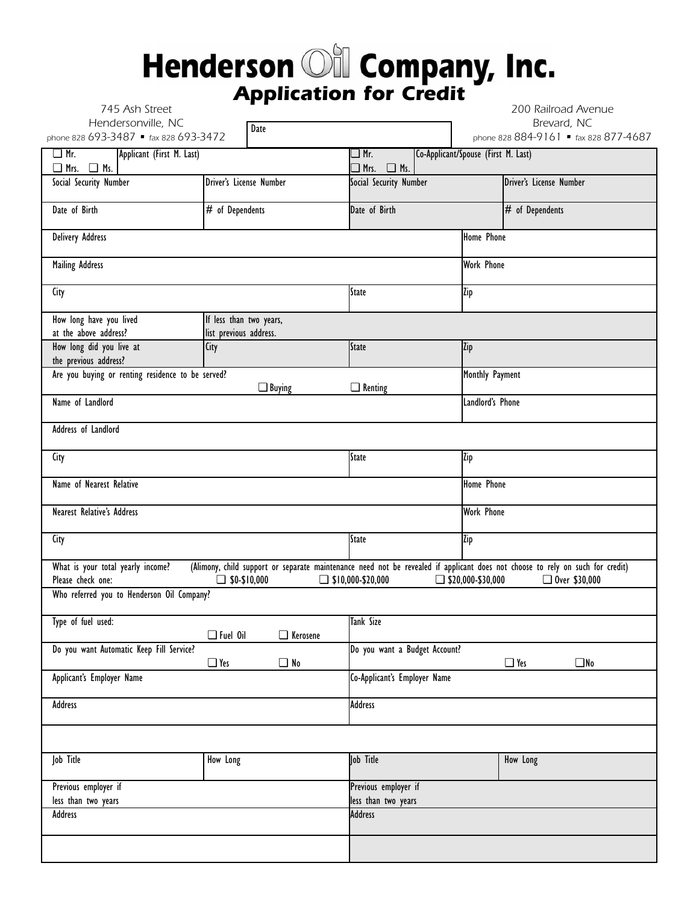## **Henderson** *O***II** Company, Inc.<br>Application for Credit

| 745 Ash Street                                                                                                                                                                                                                                                                            |                         |                   |                                                          |                                     |     | 200 Railroad Avenue                   |  |
|-------------------------------------------------------------------------------------------------------------------------------------------------------------------------------------------------------------------------------------------------------------------------------------------|-------------------------|-------------------|----------------------------------------------------------|-------------------------------------|-----|---------------------------------------|--|
| Hendersonville, NC                                                                                                                                                                                                                                                                        |                         | Date              |                                                          |                                     |     | Brevard, NC                           |  |
| phone 828 693-3487 · fax 828 693-3472                                                                                                                                                                                                                                                     |                         |                   |                                                          |                                     |     | phone 828 884-9161 - fax 828 877-4687 |  |
| Applicant (First M. Last)<br>$\Box$ Mr.<br>$\Box$ Mrs. $\Box$ Ms.                                                                                                                                                                                                                         |                         |                   | □ Mr.<br>$\Box$ Mrs.<br>$\Box$ Ms.                       | Co-Applicant/Spouse (First M. Last) |     |                                       |  |
| Social Security Number                                                                                                                                                                                                                                                                    | Driver's License Number |                   | Social Security Number                                   |                                     |     | Driver's License Number               |  |
| Date of Birth                                                                                                                                                                                                                                                                             | # of Dependents         |                   | Date of Birth                                            |                                     |     | # of Dependents                       |  |
| <b>Delivery Address</b>                                                                                                                                                                                                                                                                   |                         | Home Phone        |                                                          |                                     |     |                                       |  |
| <b>Mailing Address</b>                                                                                                                                                                                                                                                                    | Work Phone              |                   |                                                          |                                     |     |                                       |  |
| City                                                                                                                                                                                                                                                                                      |                         |                   | <b>State</b>                                             |                                     | Zip |                                       |  |
| How long have you lived                                                                                                                                                                                                                                                                   | If less than two years, |                   |                                                          |                                     |     |                                       |  |
| at the above address?                                                                                                                                                                                                                                                                     | list previous address.  |                   |                                                          |                                     |     |                                       |  |
| How long did you live at                                                                                                                                                                                                                                                                  | City                    |                   | State                                                    |                                     | Zip |                                       |  |
| the previous address?                                                                                                                                                                                                                                                                     |                         |                   |                                                          |                                     |     |                                       |  |
| Are you buying or renting residence to be served?                                                                                                                                                                                                                                         |                         |                   | Monthly Payment                                          |                                     |     |                                       |  |
|                                                                                                                                                                                                                                                                                           | $\Box$ Renting          |                   |                                                          |                                     |     |                                       |  |
| Name of Landlord                                                                                                                                                                                                                                                                          |                         |                   | Landlord's Phone                                         |                                     |     |                                       |  |
| Address of Landlord                                                                                                                                                                                                                                                                       |                         |                   |                                                          |                                     |     |                                       |  |
| City                                                                                                                                                                                                                                                                                      | State                   |                   | Zip                                                      |                                     |     |                                       |  |
| Name of Nearest Relative                                                                                                                                                                                                                                                                  |                         |                   | Home Phone                                               |                                     |     |                                       |  |
| Nearest Relative's Address                                                                                                                                                                                                                                                                |                         | <b>Work Phone</b> |                                                          |                                     |     |                                       |  |
| City                                                                                                                                                                                                                                                                                      | State                   |                   |                                                          |                                     | Zip |                                       |  |
| What is your total yearly income?<br>(Alimony, child support or separate maintenance need not be revealed if applicant does not choose to rely on such for credit)<br>Please check one:<br>$\Box$ \$0-\$10,000<br>$\Box$ \$10,000-\$20,000<br>$\Box$ \$20,000-\$30,000<br>□ Over \$30,000 |                         |                   |                                                          |                                     |     |                                       |  |
| Who referred you to Henderson Oil Company?                                                                                                                                                                                                                                                |                         |                   |                                                          |                                     |     |                                       |  |
| Type of fuel used:                                                                                                                                                                                                                                                                        | $\Box$ Fuel Oil         | <b>Expansion</b>  | Tank Size                                                |                                     |     |                                       |  |
| Do you want Automatic Keep Fill Service?<br>$\Box$ Yes<br>$\Box$ No                                                                                                                                                                                                                       |                         |                   | Do you want a Budget Account?<br>$\Box$ No<br>$\Box$ Yes |                                     |     |                                       |  |
| Applicant's Employer Name                                                                                                                                                                                                                                                                 |                         |                   | Co-Applicant's Employer Name                             |                                     |     |                                       |  |
| <b>Address</b>                                                                                                                                                                                                                                                                            |                         |                   | <b>Address</b>                                           |                                     |     |                                       |  |
|                                                                                                                                                                                                                                                                                           |                         |                   |                                                          |                                     |     |                                       |  |
| Job Title                                                                                                                                                                                                                                                                                 | How Long                |                   | lob Title                                                |                                     |     | How Long                              |  |
| Previous employer if                                                                                                                                                                                                                                                                      |                         |                   | Previous employer if                                     |                                     |     |                                       |  |
| less than two years                                                                                                                                                                                                                                                                       |                         |                   | less than two years                                      |                                     |     |                                       |  |
| Address                                                                                                                                                                                                                                                                                   |                         |                   | Address                                                  |                                     |     |                                       |  |
|                                                                                                                                                                                                                                                                                           |                         |                   |                                                          |                                     |     |                                       |  |